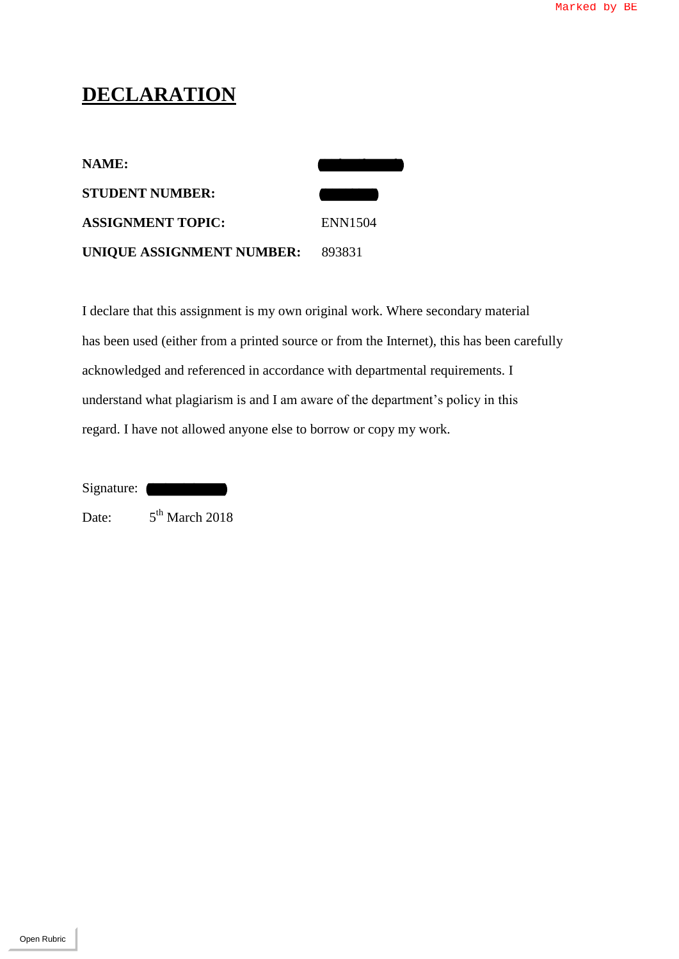## **DECLARATION**

| <b>NAME:</b>              |         |
|---------------------------|---------|
| <b>STUDENT NUMBER:</b>    |         |
| <b>ASSIGNMENT TOPIC:</b>  | ENN1504 |
| UNIQUE ASSIGNMENT NUMBER: | 893831  |

I declare that this assignment is my own original work. Where secondary material has been used (either from a printed source or from the Internet), this has been carefully acknowledged and referenced in accordance with departmental requirements. I understand what plagiarism is and I am aware of the department's policy in this regard. I have not allowed anyone else to borrow or copy my work. EXAMPLE SECULAR ATION<br>
NAME:<br>
STUDENT NUMITER:<br>
ASSICNMENT TOPIC:<br>
CNIOUE ASSICNMENT NUMBER: 893531<br>
Unicalize that this assignment is any over original soutie. Where secondary material<br>
that been used (clints from a pina

Signature:

Date:  $5<sup>th</sup>$  March 2018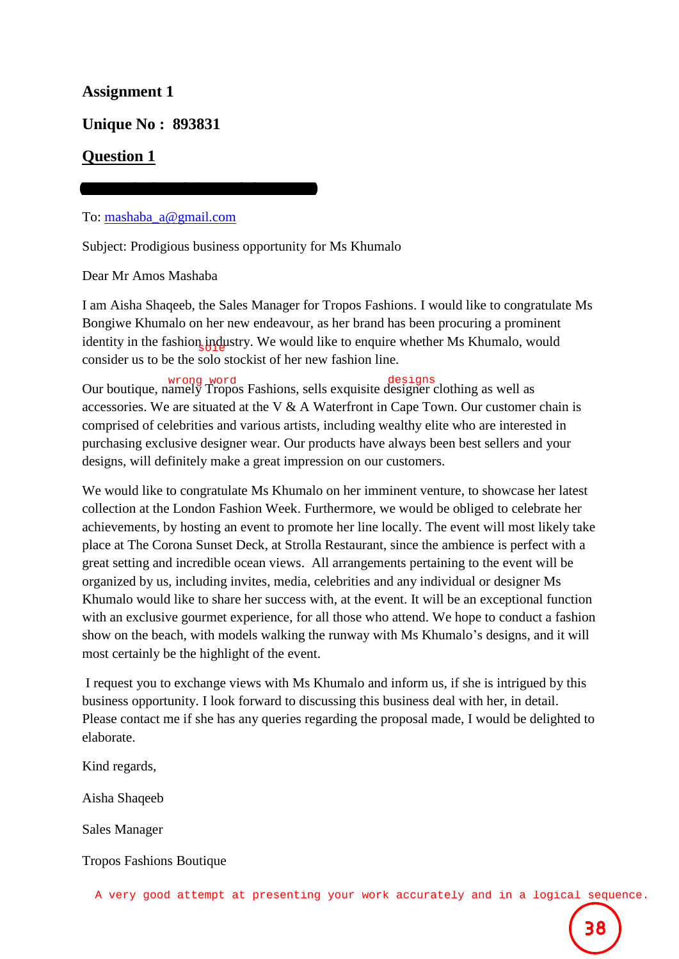#### **Assignment 1**

**Unique No : 893831**

### **Question 1**

To: [mashaba\\_a@gmail.com](mailto:mashaba_a@gmail.com)

From: [aishashaqeeb@troposfashions.co.za](mailto:aishashaqeeb@troposfashions.co.za)

Subject: Prodigious business opportunity for Ms Khumalo

Dear Mr Amos Mashaba

I am Aisha Shaqeeb, the Sales Manager for Tropos Fashions. I would like to congratulate Ms Bongiwe Khumalo on her new endeavour, as her brand has been procuring a prominent identity in the fashion industry. We would like to enquire whether Ms Khumalo, would consider us to be the solo stockist of her new fashion line.

Our boutique, namely Tropos Fashions, sells exquisite designer clothing as well as accessories. We are situated at the V & A Waterfront in Cape Town. Our customer chain is comprised of celebrities and various artists, including wealthy elite who are interested in purchasing exclusive designer wear. Our products have always been best sellers and your designs, will definitely make a great impression on our customers.

We would like to congratulate Ms Khumalo on her imminent venture, to showcase her latest collection at the London Fashion Week. Furthermore, we would be obliged to celebrate her achievements, by hosting an event to promote her line locally. The event will most likely take place at The Corona Sunset Deck, at Strolla Restaurant, since the ambience is perfect with a great setting and incredible ocean views. All arrangements pertaining to the event will be organized by us, including invites, media, celebrities and any individual or designer Ms Khumalo would like to share her success with, at the event. It will be an exceptional function with an exclusive gourmet experience, for all those who attend. We hope to conduct a fashion show on the beach, with models walking the runway with Ms Khumalo's designs, and it will most certainly be the highlight of the event. ar boutique, namely "ropids Fashions, sells exquisite designere looting as well as<br>cossories. We are situated at the V & A Waterform in Cape Towo. Our customer chain is<br>myrised of celebrities and various artists, including

I request you to exchange views with Ms Khumalo and inform us, if she is intrigued by this business opportunity. I look forward to discussing this business deal with her, in detail. Please contact me if she has any queries regarding the proposal made, I would be delighted to elaborate.

Kind regards,

Aisha Shaqeeb

Sales Manager

Tropos Fashions Boutique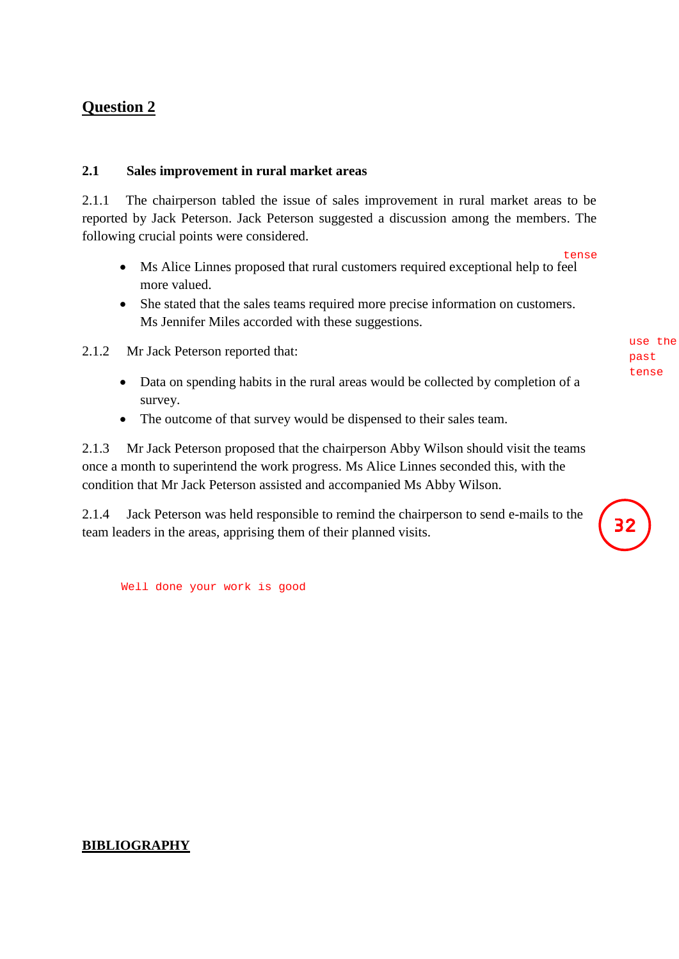## **Question 2**

#### **2.1 Sales improvement in rural market areas**

2.1.1 The chairperson tabled the issue of sales improvement in rural market areas to be reported by Jack Peterson. Jack Peterson suggested a discussion among the members. The following crucial points were considered.

- Ms Alice Linnes proposed that rural customers required exceptional help to feel more valued.
- She stated that the sales teams required more precise information on customers. Ms Jennifer Miles accorded with these suggestions.

2.1.2 Mr Jack Peterson reported that:

- Data on spending habits in the rural areas would be collected by completion of a survey.
- The outcome of that survey would be dispensed to their sales team.

2.1.3 Mr Jack Peterson proposed that the chairperson Abby Wilson should visit the teams once a month to superintend the work progress. Ms Alice Linnes seconded this, with the condition that Mr Jack Peterson assisted and accompanied Ms Abby Wilson.

2.1.4 Jack Peterson was held responsible to remind the chairperson to send e-mails to the team leaders in the areas, apprising them of their planned visits.

Well done your work is good

#### **BIBLIOGRAPHY**

past tense

use the

 $32$ 

tense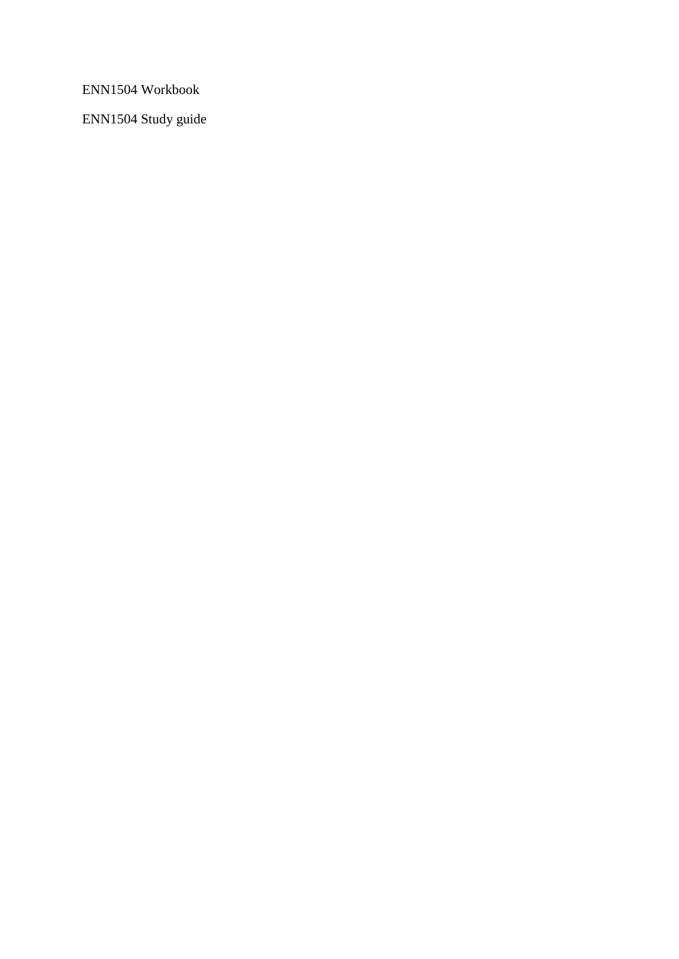ENN1504 Workbook

ENN1504 Study guide